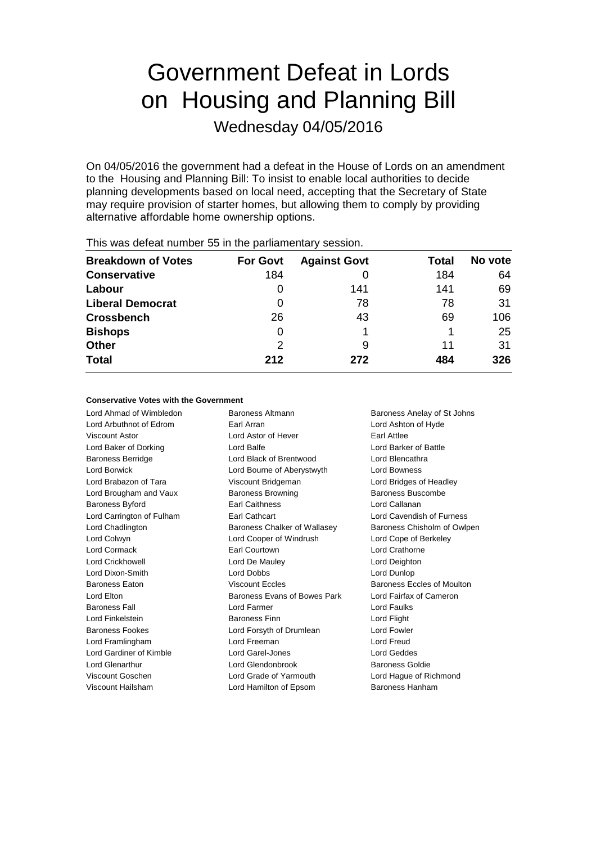# Government Defeat in Lords on Housing and Planning Bill

Wednesday 04/05/2016

On 04/05/2016 the government had a defeat in the House of Lords on an amendment to the Housing and Planning Bill: To insist to enable local authorities to decide planning developments based on local need, accepting that the Secretary of State may require provision of starter homes, but allowing them to comply by providing alternative affordable home ownership options.

| <b>Breakdown of Votes</b> | <b>For Govt</b> | <b>Against Govt</b> | Total | No vote |
|---------------------------|-----------------|---------------------|-------|---------|
| <b>Conservative</b>       | 184             |                     | 184   | 64      |
| Labour                    | 0               | 141                 | 141   | 69      |
| <b>Liberal Democrat</b>   | 0               | 78                  | 78    | 31      |
| <b>Crossbench</b>         | 26              | 43                  | 69    | 106     |
| <b>Bishops</b>            | 0               |                     |       | 25      |
| <b>Other</b>              | 2               | 9                   | 11    | 31      |
| <b>Total</b>              | 212             | 272                 | 484   | 326     |
|                           |                 |                     |       |         |

This was defeat number 55 in the parliamentary session.

### **Conservative Votes with the Government**

Lord Ahmad of Wimbledon Baroness Altmann Baroness Anelay of St Johns

Lord Arbuthnot of Edrom Earl Arran Lord Ashton of Hyde Viscount Astor Lord Astor of Hever Earl Attlee Lord Baker of Dorking Lord Balfe Lord Barker of Battle Baroness Berridge Lord Black of Brentwood Lord Blencathra Lord Borwick Lord Bourne of Aberystwyth Lord Bowness Lord Brabazon of Tara Viscount Bridgeman Lord Bridges of Headley Lord Brougham and Vaux Baroness Browning Baroness Buscombe Baroness Byford Earl Caithness Lord Callanan Lord Carrington of Fulham Earl Cathcart Lord Cavendish of Furness Lord Chadlington **Baroness Chalker of Wallasey** Baroness Chisholm of Owlpen Lord Colwyn Lord Cooper of Windrush Lord Cope of Berkeley Lord Cormack Earl Courtown Lord Crathorne Lord Crickhowell Lord De Mauley Lord Deighton Lord Dixon-Smith Lord Dobbs Lord Dunlop Baroness Eaton **Baroness Exclusive Baroness Eccles** Baroness Eccles of Moulton Lord Elton Baroness Evans of Bowes Park Lord Fairfax of Cameron Baroness Fall Lord Farmer Lord Faulks Lord Finkelstein Baroness Finn Lord Flight Baroness Fookes Lord Forsyth of Drumlean Lord Fowler Lord Framlingham Lord Freeman Lord Freud Lord Gardiner of Kimble Lord Garel-Jones Lord Geddes Lord Glenarthur Lord Glendonbrook Baroness Goldie Viscount Goschen Lord Grade of Yarmouth Lord Hague of Richmond Viscount Hailsham Lord Hamilton of Epsom Baroness Hanham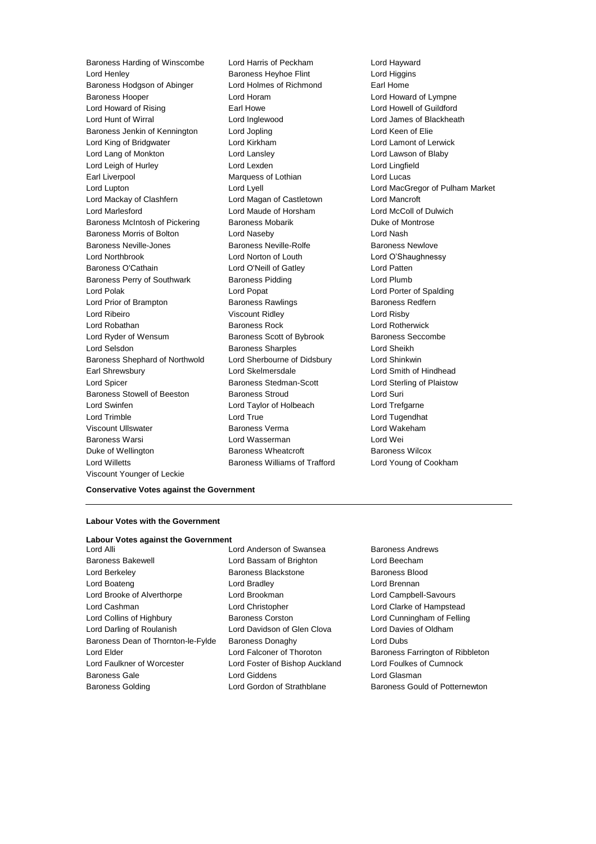Lord Henley Baroness Heyhoe Flint Lord Higgins Baroness Hodgson of Abinger Lord Holmes of Richmond Earl Home Baroness Hooper **Lord Horam** Lord Horam **Lord Howard of Lympne** Lord Howard of Rising **Earl Howe** Earl Howe **Lord Howell of Guildford** Lord Hunt of Wirral **Lord Inglewood** Lord Inglewood Lord James of Blackheath<br>
Baroness Jenkin of Kennington Lord Jopling Lord Keen of Elie Baroness Jenkin of Kennington Lord Jopling Lord Keen of Elie Lord King of Bridgwater Lord Kirkham Lord Lamont of Lerwick Lord Lang of Monkton Lord Lansley Lord Lawson of Blaby Lord Leigh of Hurley Lord Lexden Lord Lingfield Earl Liverpool Marquess of Lothian Lord Lucas Lord Lupton Lord Lyell Lord MacGregor of Pulham Market Lord Mackay of Clashfern Lord Magan of Castletown Lord Mancroft Lord Marlesford Lord Maude of Horsham Lord McColl of Dulwich Baroness McIntosh of Pickering Baroness Mobarik Baroness Montrose Baroness Morris of Bolton Lord Naseby Lord Nash Baroness Neville-Jones **Baroness Neville-Rolfe** Baroness Newlove Lord Northbrook Lord Norton of Louth Lord O'Shaughnessy Baroness O'Cathain Lord O'Neill of Gatley Lord Patten Baroness Perry of Southwark Baroness Pidding Baroness Pidding Lord Plumb Lord Polak Lord Popat Lord Porter of Spalding Lord Prior of Brampton **Baroness Rawlings** Baroness Redfern Lord Ribeiro Viscount Ridley Lord Risby Lord Robathan **Baroness Rock** Lord Rotherwick Lord Ryder of Wensum Baroness Scott of Bybrook Baroness Seccombe Lord Selsdon **Baroness Sharples** Lord Sheikh Baroness Shephard of Northwold Lord Sherbourne of Didsbury Lord Shinkwin Earl Shrewsbury Lord Skelmersdale Lord Smith of Hindhead Lord Spicer **Baroness Stedman-Scott** Lord Sterling of Plaistow Baroness Stowell of Beeston Baroness Stroud **Baroness** Stroud Lord Suri Lord Swinfen Lord Taylor of Holbeach Lord Trefgarne Lord Trimble Lord True Lord Tugendhat Viscount Ullswater Baroness Verma Lord Wakeham Baroness Warsi Lord Wasserman Lord Wei Duke of Wellington **Baroness Wheatcroft** Baroness Wheatcroft Baroness Wilcox Lord Willetts Baroness Williams of Trafford Lord Young of Cookham Viscount Younger of Leckie

Baroness Harding of Winscombe Lord Harris of Peckham Lord Hayward

**Conservative Votes against the Government**

# **Labour Votes with the Government**

|  |  | <b>Labour Votes against the Government</b> |  |  |  |
|--|--|--------------------------------------------|--|--|--|
|--|--|--------------------------------------------|--|--|--|

Baroness Bakewell Lord Bassam of Brighton Lord Beecham Lord Berkeley Baroness Blackstone Baroness Blood Lord Boateng Lord Bradley Lord Brennan Lord Brooke of Alverthorpe Lord Brookman Lord Campbell-Savours Lord Cashman Lord Christopher Lord Clarke of Hampstead Lord Collins of Highbury Baroness Corston Lord Cunningham of Felling Lord Darling of Roulanish Lord Davidson of Glen Clova Lord Davies of Oldham Baroness Dean of Thornton-le-Fylde Baroness Donaghy Lord Dubs Lord Elder **Lord Falconer of Thoroton** Baroness Farrington of Ribbleton Lord Faulkner of Worcester Lord Foster of Bishop Auckland Lord Foulkes of Cumnock Baroness Gale Lord Giddens Lord Glasman Baroness Golding **Lord Gordon of Strathblane** Baroness Gould of Potternewton

Lord Alli Lord Anderson of Swansea Baroness Andrews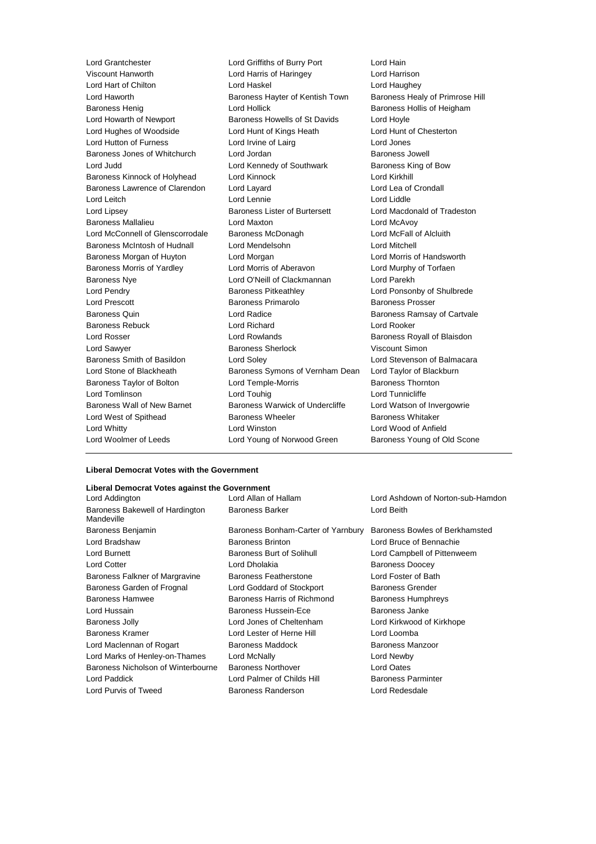Lord Grantchester Lord Griffiths of Burry Port Lord Hain Lord Hart of Chilton Lord Haskel Lord Haughey Lord Haworth **Baroness Hayter of Kentish Town** Baroness Healy of Primrose Hill Baroness Henig **Exercise State Controllers** Lord Hollick **Baroness Hollis of Heigham** Lord Howarth of Newport **Baroness Howells of St Davids** Lord Hoyle Lord Hughes of Woodside Lord Hunt of Kings Heath Lord Hunt of Chesterton Lord Hutton of Furness Lord Irvine of Lairg Lord Hutton of Furness Baroness Jones of Whitchurch Lord Jordan Baroness Jowell Lord Judd Lord Kennedy of Southwark Baroness King of Bow Baroness Kinnock of Holyhead Lord Kinnock Lord Kirkhill Baroness Lawrence of Clarendon Lord Layard Lord Lea of Crondall Lord Leitch Lord Lennie Lord Liddle Lord Lipsey **Baroness Lister of Burtersett** Lord Macdonald of Tradeston Baroness Mallalieu Lord Maxton Lord McAvoy Lord McConnell of Glenscorrodale Baroness McDonagh Lord McFall of Alcluith Baroness McIntosh of Hudnall Lord Mendelsohn Lord Mitchell Baroness Morgan of Huyton Lord Morgan Lord Morris of Handsworth Baroness Morris of Yardley **Lord Morris of Aberavon** Lord Murphy of Torfaen Baroness Nye Lord O'Neill of Clackmannan Lord Parekh Lord Pendry Baroness Pitkeathley Lord Ponsonby of Shulbrede Lord Prescott Baroness Primarolo Baroness Prosser Baroness Quin **Example 2** Lord Radice **Baroness Ramsay of Cartvale** Baroness Rebuck Lord Richard Lord Rooker Lord Rosser Lord Rowlands Baroness Royall of Blaisdon Lord Sawyer Baroness Sherlock Viscount Simon Baroness Smith of Basildon Lord Soley Lord Stevenson of Balmacara Lord Stone of Blackheath Baroness Symons of Vernham Dean Lord Taylor of Blackburn Baroness Taylor of Bolton Lord Temple-Morris **Baroness Thornton** Lord Tomlinson Lord Touhig Lord Tunnicliffe Baroness Wall of New Barnet Baroness Warwick of Undercliffe Lord Watson of Invergowrie Lord West of Spithead **Baroness Wheeler** Baroness Whitaker Lord Whitty Lord Winston Lord Wood of Anfield Lord Woolmer of Leeds Lord Young of Norwood Green Baroness Young of Old Scone

Lord Harris of Haringey Lord Harrison

#### **Liberal Democrat Votes with the Government**

#### **Liberal Democrat Votes against the Government**

| Lord Addington                                | Lord Allan of Hallam               | Lord Ashdown of Norton-sub-Hamdon |  |
|-----------------------------------------------|------------------------------------|-----------------------------------|--|
| Baroness Bakewell of Hardington<br>Mandeville | <b>Baroness Barker</b>             | Lord Beith                        |  |
| Baroness Benjamin                             | Baroness Bonham-Carter of Yarnbury | Baroness Bowles of Berkhamsted    |  |
| Lord Bradshaw                                 | <b>Baroness Brinton</b>            | Lord Bruce of Bennachie           |  |
| Lord Burnett                                  | Baroness Burt of Solihull          | Lord Campbell of Pittenweem       |  |
| Lord Cotter                                   | Lord Dholakia                      | <b>Baroness Doocey</b>            |  |
| Baroness Falkner of Margravine                | <b>Baroness Featherstone</b>       | Lord Foster of Bath               |  |
| Baroness Garden of Frognal                    | Lord Goddard of Stockport          | <b>Baroness Grender</b>           |  |
| <b>Baroness Hamwee</b>                        | Baroness Harris of Richmond        | <b>Baroness Humphreys</b>         |  |
| Lord Hussain                                  | <b>Baroness Hussein-Ece</b>        | Baroness Janke                    |  |
| Baroness Jolly                                | Lord Jones of Cheltenham           | Lord Kirkwood of Kirkhope         |  |
| <b>Baroness Kramer</b>                        | Lord Lester of Herne Hill          | Lord Loomba                       |  |
| Lord Maclennan of Rogart                      | Baroness Maddock                   | <b>Baroness Manzoor</b>           |  |
| Lord Marks of Henley-on-Thames                | Lord McNally                       | Lord Newby                        |  |
| Baroness Nicholson of Winterbourne            | <b>Baroness Northover</b>          | Lord Oates                        |  |
| Lord Paddick                                  | Lord Palmer of Childs Hill         | <b>Baroness Parminter</b>         |  |
| Lord Purvis of Tweed                          | Baroness Randerson                 | Lord Redesdale                    |  |